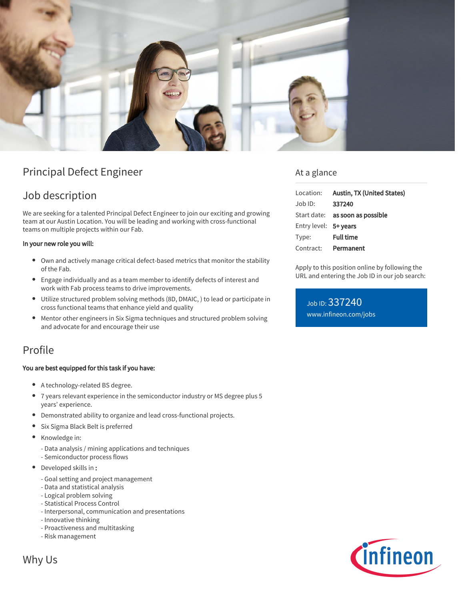

# Principal Defect Engineer

# Job description

We are seeking for a talented Principal Defect Engineer to join our exciting and growing team at our Austin Location. You will be leading and working with cross-functional teams on multiple projects within our Fab.

### In your new role you will:

- Own and actively manage critical defect-based metrics that monitor the stability of the Fab.
- Engage individually and as a team member to identify defects of interest and work with Fab process teams to drive improvements.
- Utilize structured problem solving methods (8D, DMAIC, ) to lead or participate in cross functional teams that enhance yield and quality
- Mentor other engineers in Six Sigma techniques and structured problem solving and advocate for and encourage their use

## Profile

### You are best equipped for this task if you have:

- A technology-related BS degree.
- 7 years relevant experience in the semiconductor industry or MS degree plus 5 years' experience.
- Demonstrated ability to organize and lead cross-functional projects.
- Six Sigma Black Belt is preferred  $\bullet$
- Knowledge in:
	- Data analysis / mining applications and techniques
	- Semiconductor process flows
- Developed skills in :
	- Goal setting and project management
	- Data and statistical analysis
	- Logical problem solving
	- Statistical Process Control
	- Interpersonal, communication and presentations
	- Innovative thinking
	- Proactiveness and multitasking
	- Risk management



## At a glance

| Location:             | Austin, TX (United States)             |
|-----------------------|----------------------------------------|
| $Job$ ID:             | 337240                                 |
|                       | Start date: <b>as soon as possible</b> |
| Entry level: 5+ years |                                        |
| Type:                 | <b>Full time</b>                       |
| Contract:             | Permanent                              |

Apply to this position online by following the URL and entering the Job ID in our job search:

Job ID: 337240 [www.infineon.com/jobs](https://www.infineon.com/jobs)